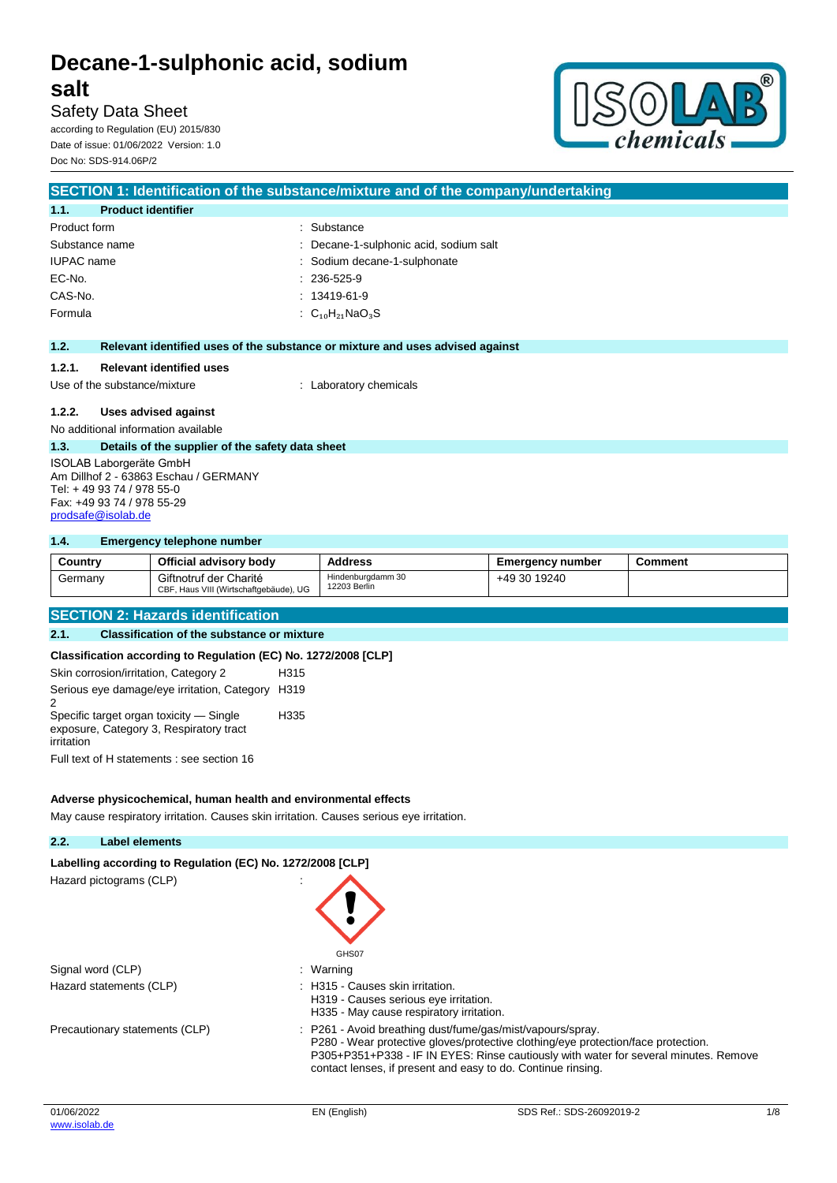## **salt**

Safety Data Sheet according to Regulation (EU) 2015/830 Date of issue: 01/06/2022 Version: 1.0 Doc No: SDS-914.06P/2



|                                           | SECTION 1: Identification of the substance/mixture and of the company/undertaking |
|-------------------------------------------|-----------------------------------------------------------------------------------|
| <b>Product identifier</b><br>1.1.         |                                                                                   |
| Product form                              | : Substance                                                                       |
| Substance name                            | : Decane-1-sulphonic acid, sodium salt                                            |
| <b>IUPAC</b> name                         | : Sodium decane-1-sulphonate                                                      |
| EC-No.                                    | $: 236-525-9$                                                                     |
| CAS-No.                                   | $: 13419 - 61 - 9$                                                                |
| Formula                                   | : $C_{10}H_{21}NaO_3S$                                                            |
|                                           |                                                                                   |
| 1.2.                                      | Relevant identified uses of the substance or mixture and uses advised against     |
| <b>Relevant identified uses</b><br>1.2.1. |                                                                                   |
| Use of the substance/mixture              | Laboratory chemicals                                                              |

#### **1.2.2. Uses advised against**

No additional information available

#### **1.3. Details of the supplier of the safety data sheet**

ISOLAB Laborgeräte GmbH Am Dillhof 2 - 63863 Eschau / GERMANY Tel: + 49 93 74 / 978 55-0 Fax: +49 93 74 / 978 55-29 [prodsafe@isolab.de](mailto:prodsafe@isolab.de)

#### **1.4. Emergency telephone number**

| Country | Official advisory body                                           | Address                           | <b>Emergency number</b> | Comment |
|---------|------------------------------------------------------------------|-----------------------------------|-------------------------|---------|
| Germany | Giftnotruf der Charité<br>CBF, Haus VIII (Wirtschaftgebäude), UG | Hindenburgdamm 30<br>12203 Berlin | +49 30 19240            |         |

#### **SECTION 2: Hazards identification**

#### **2.1. Classification of the substance or mixture**

**Classification according to Regulation (EC) No. 1272/2008 [CLP]**

| Skin corrosion/irritation, Category 2                                                            | H315 |
|--------------------------------------------------------------------------------------------------|------|
| Serious eye damage/eye irritation, Category H319<br>2                                            |      |
| Specific target organ toxicity — Single<br>exposure, Category 3, Respiratory tract<br>irritation | H335 |
| Full text of H statements : see section 16                                                       |      |

#### **Adverse physicochemical, human health and environmental effects**

May cause respiratory irritation. Causes skin irritation. Causes serious eye irritation.

#### **2.2. Label elements**

|--|

Hazard pictograms (CLP) :



- Signal word (CLP) **in the set of the Signal word (CLP)** and the set of the set of the set of the set of the set o
- Hazard statements (CLP)  $\qquad \qquad$ : H315 Causes skin irritation.
	- H319 Causes serious eye irritation. H335 - May cause respiratory irritation.
- Precautionary statements (CLP) : P261 Avoid breathing dust/fume/gas/mist/vapours/spray. P280 - Wear protective gloves/protective clothing/eye protection/face protection. P305+P351+P338 - IF IN EYES: Rinse cautiously with water for several minutes. Remove contact lenses, if present and easy to do. Continue rinsing.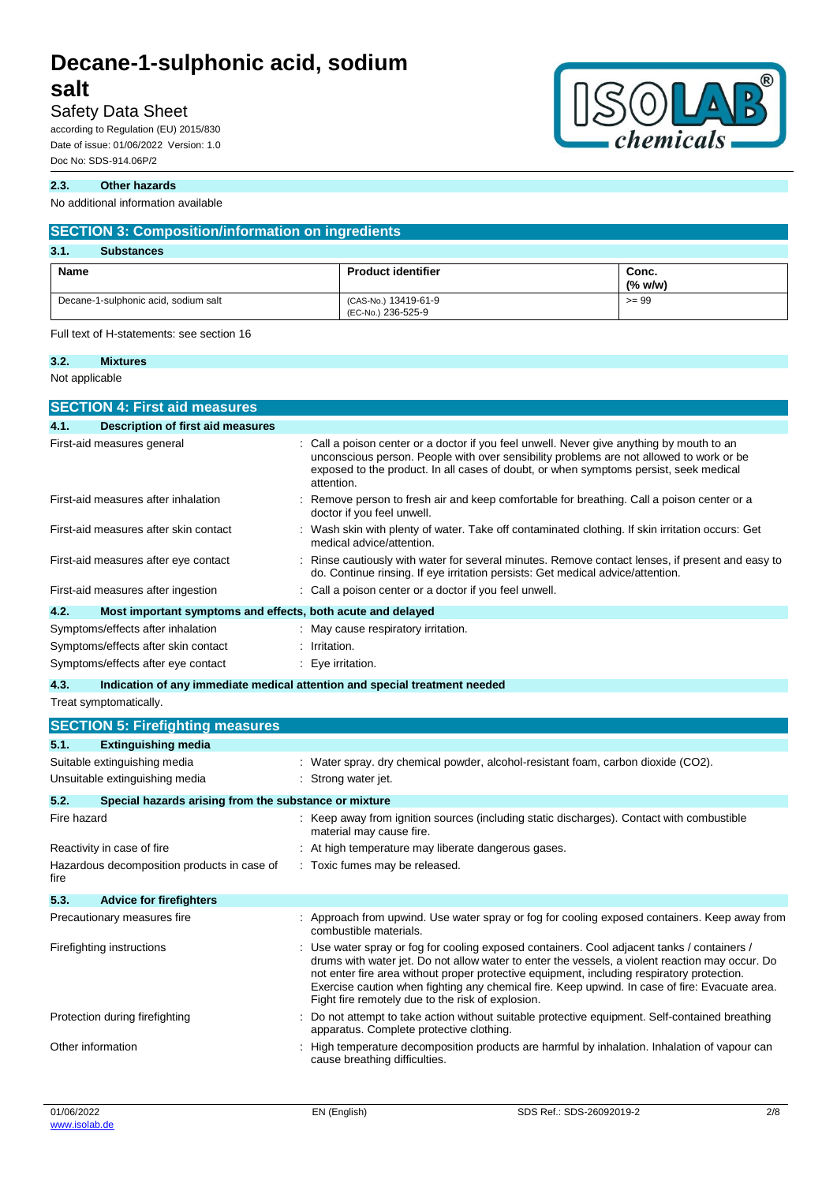### Safety Data Sheet

according to Regulation (EU) 2015/830 Date of issue: 01/06/2022 Version: 1.0 Doc No: SDS-914.06P/2

#### **2.3. Other hazards**

No additional information available

| <b>SECTION 3: Composition/information on ingredients</b> |                                            |                  |
|----------------------------------------------------------|--------------------------------------------|------------------|
| 3.1.<br><b>Substances</b>                                |                                            |                  |
| Name                                                     | <b>Product identifier</b>                  | Conc.<br>(% w/w) |
| Decane-1-sulphonic acid, sodium salt                     | (CAS-No.) 13419-61-9<br>(EC-No.) 236-525-9 | $>= 99$          |

Full text of H-statements: see section 16

#### **3.2. Mixtures**

Not applicable

| <b>SECTION 4: First aid measures</b>                                |                                                                                                                                                                                                                                                                                                                                                                                                                                                     |
|---------------------------------------------------------------------|-----------------------------------------------------------------------------------------------------------------------------------------------------------------------------------------------------------------------------------------------------------------------------------------------------------------------------------------------------------------------------------------------------------------------------------------------------|
| 4.1.<br>Description of first aid measures                           |                                                                                                                                                                                                                                                                                                                                                                                                                                                     |
| First-aid measures general                                          | : Call a poison center or a doctor if you feel unwell. Never give anything by mouth to an<br>unconscious person. People with over sensibility problems are not allowed to work or be<br>exposed to the product. In all cases of doubt, or when symptoms persist, seek medical<br>attention.                                                                                                                                                         |
| First-aid measures after inhalation                                 | Remove person to fresh air and keep comfortable for breathing. Call a poison center or a<br>doctor if you feel unwell.                                                                                                                                                                                                                                                                                                                              |
| First-aid measures after skin contact                               | : Wash skin with plenty of water. Take off contaminated clothing. If skin irritation occurs: Get<br>medical advice/attention.                                                                                                                                                                                                                                                                                                                       |
| First-aid measures after eye contact                                | : Rinse cautiously with water for several minutes. Remove contact lenses, if present and easy to<br>do. Continue rinsing. If eye irritation persists: Get medical advice/attention.                                                                                                                                                                                                                                                                 |
| First-aid measures after ingestion                                  | : Call a poison center or a doctor if you feel unwell.                                                                                                                                                                                                                                                                                                                                                                                              |
| 4.2.<br>Most important symptoms and effects, both acute and delayed |                                                                                                                                                                                                                                                                                                                                                                                                                                                     |
| Symptoms/effects after inhalation                                   | May cause respiratory irritation.                                                                                                                                                                                                                                                                                                                                                                                                                   |
| Symptoms/effects after skin contact                                 | Irritation.                                                                                                                                                                                                                                                                                                                                                                                                                                         |
| Symptoms/effects after eye contact                                  | : Eye irritation.                                                                                                                                                                                                                                                                                                                                                                                                                                   |
| 4.3.                                                                | Indication of any immediate medical attention and special treatment needed                                                                                                                                                                                                                                                                                                                                                                          |
| Treat symptomatically.                                              |                                                                                                                                                                                                                                                                                                                                                                                                                                                     |
| <b>SECTION 5: Firefighting measures</b>                             |                                                                                                                                                                                                                                                                                                                                                                                                                                                     |
| 5.1.<br><b>Extinguishing media</b>                                  |                                                                                                                                                                                                                                                                                                                                                                                                                                                     |
| Suitable extinguishing media                                        | Water spray. dry chemical powder, alcohol-resistant foam, carbon dioxide (CO2).                                                                                                                                                                                                                                                                                                                                                                     |
| Unsuitable extinguishing media                                      | Strong water jet.                                                                                                                                                                                                                                                                                                                                                                                                                                   |
| 5.2.<br>Special hazards arising from the substance or mixture       |                                                                                                                                                                                                                                                                                                                                                                                                                                                     |
| Fire hazard                                                         | : Keep away from ignition sources (including static discharges). Contact with combustible<br>material may cause fire.                                                                                                                                                                                                                                                                                                                               |
| Reactivity in case of fire                                          | : At high temperature may liberate dangerous gases.                                                                                                                                                                                                                                                                                                                                                                                                 |
| Hazardous decomposition products in case of<br>fire                 | : Toxic fumes may be released.                                                                                                                                                                                                                                                                                                                                                                                                                      |
| 5.3.<br><b>Advice for firefighters</b>                              |                                                                                                                                                                                                                                                                                                                                                                                                                                                     |
| Precautionary measures fire                                         | : Approach from upwind. Use water spray or fog for cooling exposed containers. Keep away from<br>combustible materials.                                                                                                                                                                                                                                                                                                                             |
| Firefighting instructions                                           | : Use water spray or fog for cooling exposed containers. Cool adjacent tanks / containers /<br>drums with water jet. Do not allow water to enter the vessels, a violent reaction may occur. Do<br>not enter fire area without proper protective equipment, including respiratory protection.<br>Exercise caution when fighting any chemical fire. Keep upwind. In case of fire: Evacuate area.<br>Fight fire remotely due to the risk of explosion. |
| Protection during firefighting                                      | Do not attempt to take action without suitable protective equipment. Self-contained breathing<br>apparatus. Complete protective clothing.                                                                                                                                                                                                                                                                                                           |
| Other information                                                   | High temperature decomposition products are harmful by inhalation. Inhalation of vapour can<br>cause breathing difficulties.                                                                                                                                                                                                                                                                                                                        |
|                                                                     |                                                                                                                                                                                                                                                                                                                                                                                                                                                     |



 $^{\circledR}$ 

 $D$ 

 $\bigcirc$   $\bigcirc$ 

chemicals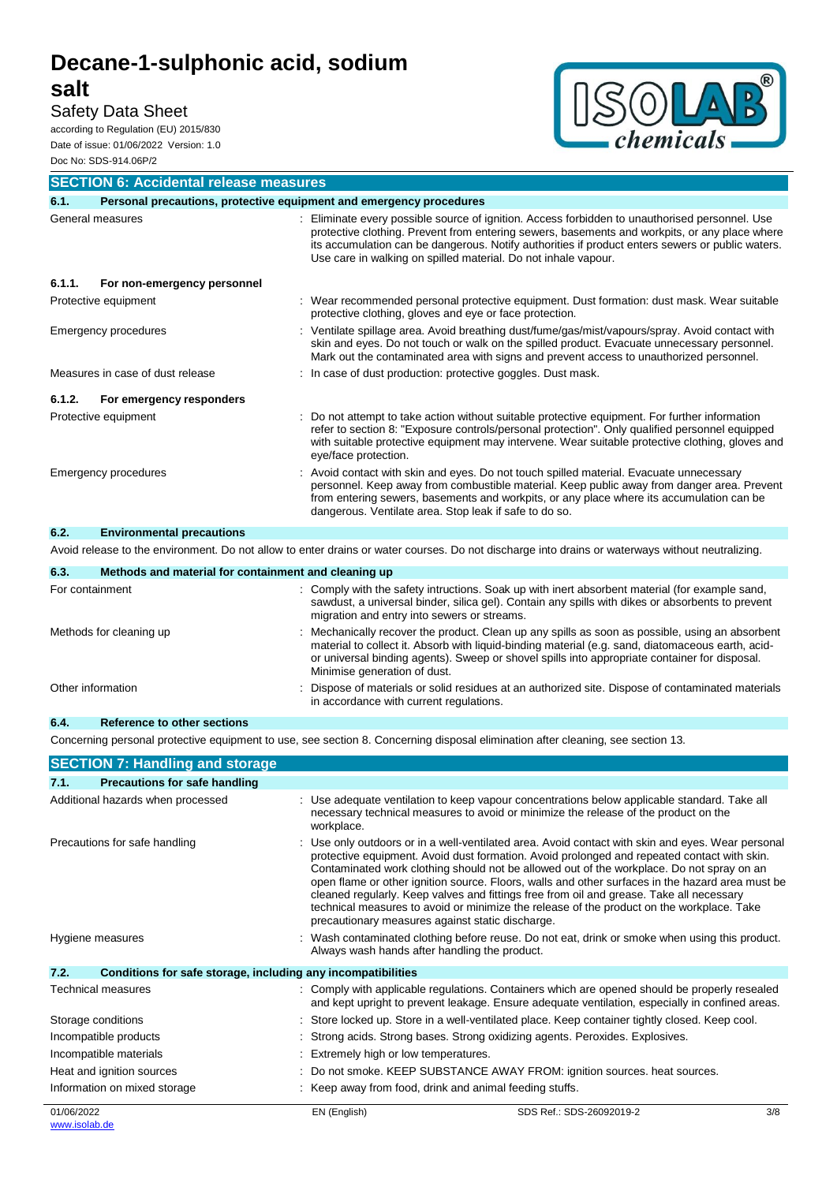## **salt**

### Safety Data Sheet

according to Regulation (EU) 2015/830 Date of issue: 01/06/2022 Version: 1.0 Doc No: SDS-914.06P/2



| <b>SECTION 6: Accidental release measures</b> |                                                                                                                                                                                                                                                                                                                                                                     |  |  |
|-----------------------------------------------|---------------------------------------------------------------------------------------------------------------------------------------------------------------------------------------------------------------------------------------------------------------------------------------------------------------------------------------------------------------------|--|--|
| 6.1.                                          | Personal precautions, protective equipment and emergency procedures                                                                                                                                                                                                                                                                                                 |  |  |
| General measures                              | Eliminate every possible source of ignition. Access forbidden to unauthorised personnel. Use<br>protective clothing. Prevent from entering sewers, basements and workpits, or any place where<br>its accumulation can be dangerous. Notify authorities if product enters sewers or public waters.<br>Use care in walking on spilled material. Do not inhale vapour. |  |  |
| 6.1.1.<br>For non-emergency personnel         |                                                                                                                                                                                                                                                                                                                                                                     |  |  |
| Protective equipment                          | : Wear recommended personal protective equipment. Dust formation: dust mask. Wear suitable<br>protective clothing, gloves and eye or face protection.                                                                                                                                                                                                               |  |  |
| Emergency procedures                          | : Ventilate spillage area. Avoid breathing dust/fume/gas/mist/vapours/spray. Avoid contact with<br>skin and eyes. Do not touch or walk on the spilled product. Evacuate unnecessary personnel.<br>Mark out the contaminated area with signs and prevent access to unauthorized personnel.                                                                           |  |  |
| Measures in case of dust release              | : In case of dust production: protective goggles. Dust mask.                                                                                                                                                                                                                                                                                                        |  |  |
| For emergency responders<br>6.1.2.            |                                                                                                                                                                                                                                                                                                                                                                     |  |  |
| Protective equipment                          | : Do not attempt to take action without suitable protective equipment. For further information<br>refer to section 8: "Exposure controls/personal protection". Only qualified personnel equipped<br>with suitable protective equipment may intervene. Wear suitable protective clothing, gloves and<br>eye/face protection.                                         |  |  |
| Emergency procedures                          | Avoid contact with skin and eyes. Do not touch spilled material. Evacuate unnecessary<br>personnel. Keep away from combustible material. Keep public away from danger area. Prevent<br>from entering sewers, basements and workpits, or any place where its accumulation can be<br>dangerous. Ventilate area. Stop leak if safe to do so.                           |  |  |
| 6.2.<br><b>Environmental precautions</b>      |                                                                                                                                                                                                                                                                                                                                                                     |  |  |
|                                               | Avoid release to the environment. Do not allow to enter drains or water courses. Do not discharge into drains or waterways without neutralizing.                                                                                                                                                                                                                    |  |  |
|                                               |                                                                                                                                                                                                                                                                                                                                                                     |  |  |

| Methods and material for containment and cleaning up                                                                                                                                                                                                                                                                                  |
|---------------------------------------------------------------------------------------------------------------------------------------------------------------------------------------------------------------------------------------------------------------------------------------------------------------------------------------|
| : Comply with the safety intructions. Soak up with inert absorbent material (for example sand,<br>sawdust, a universal binder, silica gel). Contain any spills with dikes or absorbents to prevent<br>migration and entry into sewers or streams.                                                                                     |
| : Mechanically recover the product. Clean up any spills as soon as possible, using an absorbent<br>material to collect it. Absorb with liquid-binding material (e.g. sand, diatomaceous earth, acid-<br>or universal binding agents). Sweep or shovel spills into appropriate container for disposal.<br>Minimise generation of dust. |
| Dispose of materials or solid residues at an authorized site. Dispose of contaminated materials<br>in accordance with current regulations.                                                                                                                                                                                            |
|                                                                                                                                                                                                                                                                                                                                       |

**6.4. Reference to other sections**

Concerning personal protective equipment to use, see section 8. Concerning disposal elimination after cleaning, see section 13.

|            | <b>SECTION 7: Handling and storage</b>                       |                                     |                                                                                                                                                                                                                                                                                                                                                                                                                                                                                                                                                                                                                                              |     |
|------------|--------------------------------------------------------------|-------------------------------------|----------------------------------------------------------------------------------------------------------------------------------------------------------------------------------------------------------------------------------------------------------------------------------------------------------------------------------------------------------------------------------------------------------------------------------------------------------------------------------------------------------------------------------------------------------------------------------------------------------------------------------------------|-----|
| 7.1.       | <b>Precautions for safe handling</b>                         |                                     |                                                                                                                                                                                                                                                                                                                                                                                                                                                                                                                                                                                                                                              |     |
|            | Additional hazards when processed                            | workplace.                          | : Use adequate ventilation to keep vapour concentrations below applicable standard. Take all<br>necessary technical measures to avoid or minimize the release of the product on the                                                                                                                                                                                                                                                                                                                                                                                                                                                          |     |
|            | Precautions for safe handling                                |                                     | Use only outdoors or in a well-ventilated area. Avoid contact with skin and eyes. Wear personal<br>protective equipment. Avoid dust formation. Avoid prolonged and repeated contact with skin.<br>Contaminated work clothing should not be allowed out of the workplace. Do not spray on an<br>open flame or other ignition source. Floors, walls and other surfaces in the hazard area must be<br>cleaned regularly. Keep valves and fittings free from oil and grease. Take all necessary<br>technical measures to avoid or minimize the release of the product on the workplace. Take<br>precautionary measures against static discharge. |     |
|            | Hygiene measures                                             |                                     | Wash contaminated clothing before reuse. Do not eat, drink or smoke when using this product.<br>Always wash hands after handling the product.                                                                                                                                                                                                                                                                                                                                                                                                                                                                                                |     |
| 7.2.       | Conditions for safe storage, including any incompatibilities |                                     |                                                                                                                                                                                                                                                                                                                                                                                                                                                                                                                                                                                                                                              |     |
|            | <b>Technical measures</b>                                    |                                     | : Comply with applicable regulations. Containers which are opened should be properly resealed<br>and kept upright to prevent leakage. Ensure adequate ventilation, especially in confined areas.                                                                                                                                                                                                                                                                                                                                                                                                                                             |     |
|            | Storage conditions                                           |                                     | Store locked up. Store in a well-ventilated place. Keep container tightly closed. Keep cool.                                                                                                                                                                                                                                                                                                                                                                                                                                                                                                                                                 |     |
|            | Incompatible products                                        |                                     | Strong acids. Strong bases. Strong oxidizing agents. Peroxides. Explosives.                                                                                                                                                                                                                                                                                                                                                                                                                                                                                                                                                                  |     |
|            | Incompatible materials                                       | Extremely high or low temperatures. |                                                                                                                                                                                                                                                                                                                                                                                                                                                                                                                                                                                                                                              |     |
|            | Heat and ignition sources                                    |                                     | Do not smoke. KEEP SUBSTANCE AWAY FROM: ignition sources. heat sources.                                                                                                                                                                                                                                                                                                                                                                                                                                                                                                                                                                      |     |
|            | Information on mixed storage                                 |                                     | : Keep away from food, drink and animal feeding stuffs.                                                                                                                                                                                                                                                                                                                                                                                                                                                                                                                                                                                      |     |
| 01/06/2022 |                                                              | EN (English)                        | SDS Ref.: SDS-26092019-2                                                                                                                                                                                                                                                                                                                                                                                                                                                                                                                                                                                                                     | 3/8 |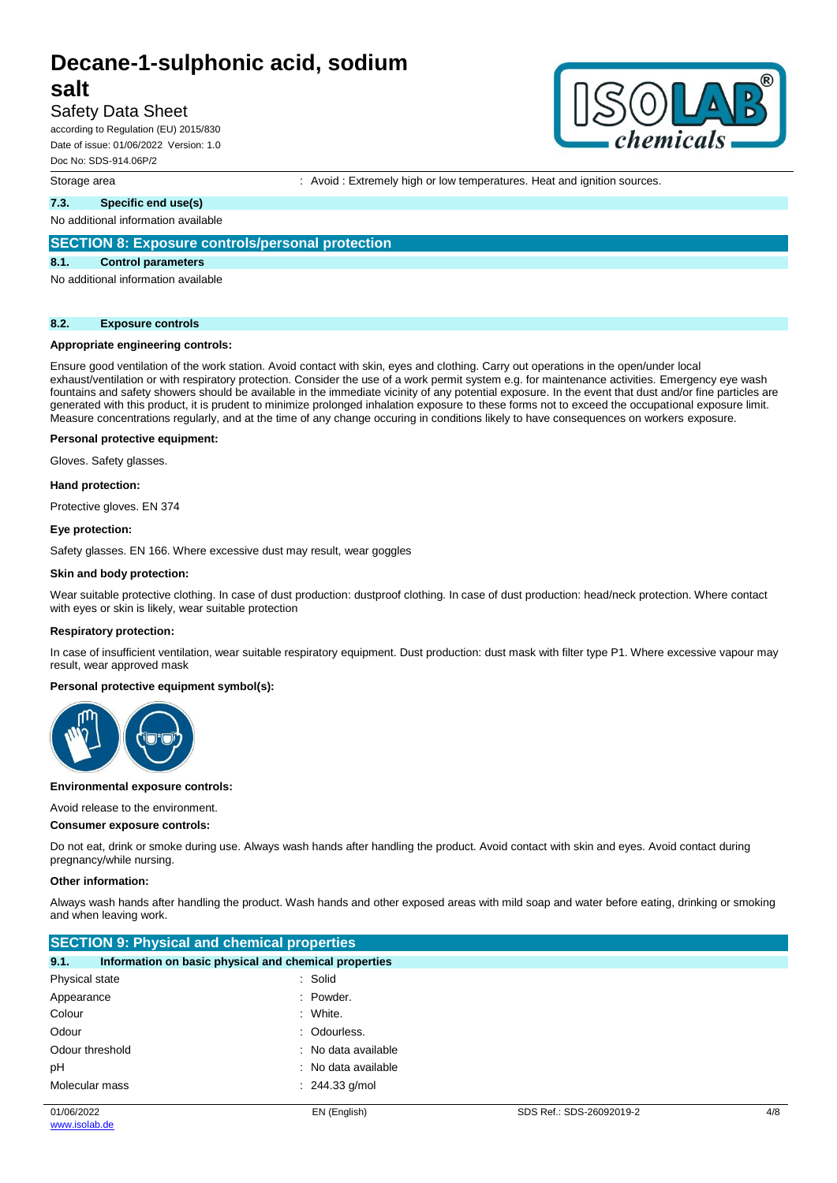## **salt**

#### Safety Data Sheet

according to Regulation (EU) 2015/830 Date of issue: 01/06/2022 Version: 1.0 Doc No: SDS-914.06P/2

#### Storage area **interest and ignition** : Avoid : Extremely high or low temperatures. Heat and ignition sources.

#### **7.3. Specific end use(s)**

No additional information available

#### **SECTION 8: Exposure controls/personal protection**

#### **8.1. Control parameters**

No additional information available

#### **8.2. Exposure controls**

#### **Appropriate engineering controls:**

Ensure good ventilation of the work station. Avoid contact with skin, eyes and clothing. Carry out operations in the open/under local exhaust/ventilation or with respiratory protection. Consider the use of a work permit system e.g. for maintenance activities. Emergency eye wash fountains and safety showers should be available in the immediate vicinity of any potential exposure. In the event that dust and/or fine particles are generated with this product, it is prudent to minimize prolonged inhalation exposure to these forms not to exceed the occupational exposure limit. Measure concentrations regularly, and at the time of any change occuring in conditions likely to have consequences on workers exposure.

#### **Personal protective equipment:**

Gloves. Safety glasses.

#### **Hand protection:**

Protective gloves. EN 374

#### **Eye protection:**

Safety glasses. EN 166. Where excessive dust may result, wear goggles

#### **Skin and body protection:**

Wear suitable protective clothing. In case of dust production: dustproof clothing. In case of dust production: head/neck protection. Where contact with eyes or skin is likely, wear suitable protection

#### **Respiratory protection:**

In case of insufficient ventilation, wear suitable respiratory equipment. Dust production: dust mask with filter type P1. Where excessive vapour may result, wear approved mask

#### **Personal protective equipment symbol(s):**



#### **Environmental exposure controls:**

#### Avoid release to the environment.

#### **Consumer exposure controls:**

Do not eat, drink or smoke during use. Always wash hands after handling the product. Avoid contact with skin and eyes. Avoid contact during pregnancy/while nursing.

#### **Other information:**

Always wash hands after handling the product. Wash hands and other exposed areas with mild soap and water before eating, drinking or smoking and when leaving work.

| <b>SECTION 9: Physical and chemical properties</b>            |                     |  |  |
|---------------------------------------------------------------|---------------------|--|--|
| 9.1.<br>Information on basic physical and chemical properties |                     |  |  |
| Physical state                                                | : Solid             |  |  |
| Appearance                                                    | : Powder.           |  |  |
| Colour                                                        | : White.            |  |  |
| Odour                                                         | : Odourless.        |  |  |
| Odour threshold                                               | : No data available |  |  |
| рH                                                            | : No data available |  |  |
| Molecular mass                                                | $: 244.33$ g/mol    |  |  |
|                                                               |                     |  |  |

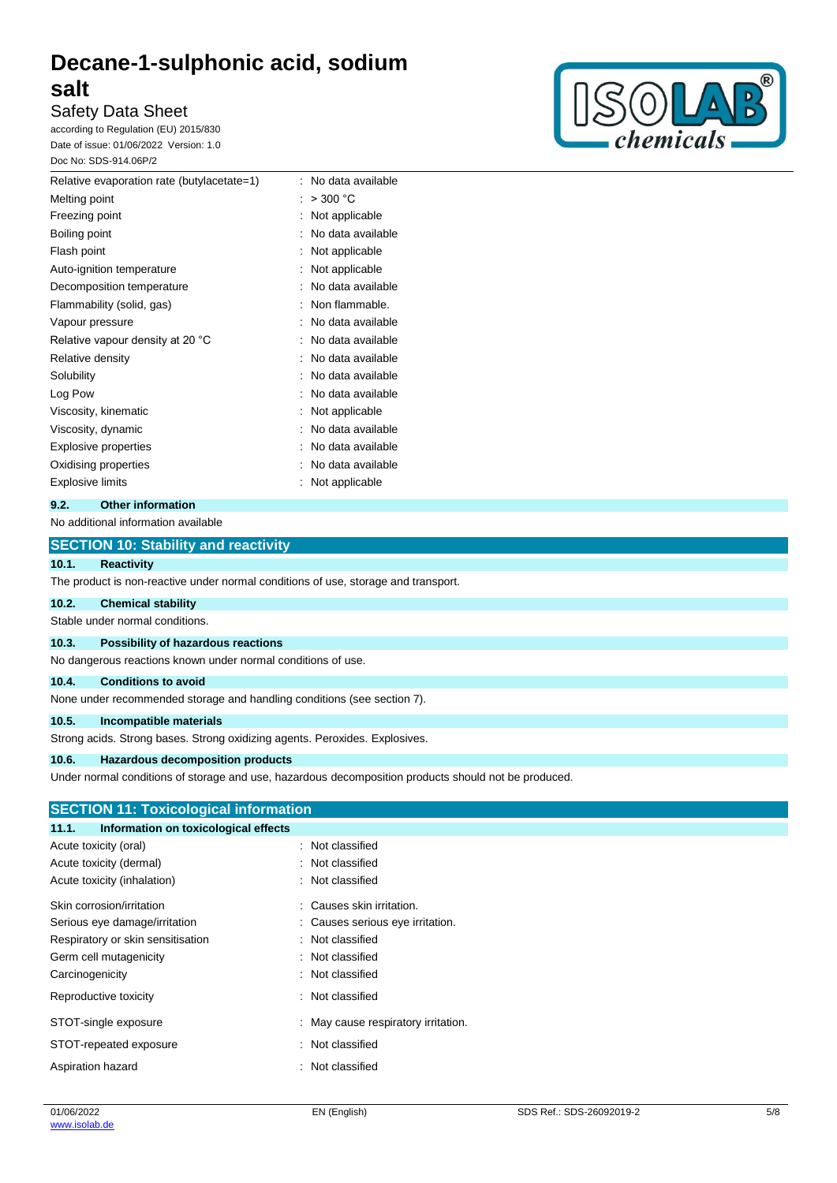### Safety Data Sheet

according to Regulation (EU) 2015/830 Date of issue: 01/06/2022 Version: 1.0 Doc No: SDS-914.06P/2



| Relative evaporation rate (butylacetate=1) | No data available<br>٠. |
|--------------------------------------------|-------------------------|
| Melting point                              | $>$ 300 $^{\circ}$ C    |
| Freezing point                             | Not applicable          |
| Boiling point                              | No data available       |
| Flash point                                | Not applicable          |
| Auto-ignition temperature                  | Not applicable          |
| Decomposition temperature                  | No data available       |
| Flammability (solid, gas)                  | Non flammable.          |
| Vapour pressure                            | No data available       |
| Relative vapour density at 20 °C           | No data available       |
| Relative density                           | No data available       |
| Solubility                                 | No data available       |
| Log Pow                                    | No data available       |
| Viscosity, kinematic                       | Not applicable          |
| Viscosity, dynamic                         | No data available       |
| <b>Explosive properties</b>                | No data available       |
| Oxidising properties                       | No data available       |
| Explosive limits                           | Not applicable          |
|                                            |                         |

#### **9.2. Other information**

No additional information available

#### **SECTION 10: Stability and reactivity**

#### **10.1. Reactivity**

The product is non-reactive under normal conditions of use, storage and transport.

#### **10.2. Chemical stability**

Stable under normal conditions.

#### **10.3. Possibility of hazardous reactions**

No dangerous reactions known under normal conditions of use.

#### **10.4. Conditions to avoid**

None under recommended storage and handling conditions (see section 7).

#### **10.5. Incompatible materials**

Strong acids. Strong bases. Strong oxidizing agents. Peroxides. Explosives.

#### **10.6. Hazardous decomposition products**

Under normal conditions of storage and use, hazardous decomposition products should not be produced.

#### **SECTION 11: Toxicological information**

| 11.1.<br>Information on toxicological effects |                                   |
|-----------------------------------------------|-----------------------------------|
| Acute toxicity (oral)                         | Not classified                    |
| Acute toxicity (dermal)                       | : Not classified                  |
| Acute toxicity (inhalation)                   | : Not classified                  |
| Skin corrosion/irritation                     | : Causes skin irritation.         |
| Serious eye damage/irritation                 | : Causes serious eye irritation.  |
| Respiratory or skin sensitisation             | : Not classified                  |
| Germ cell mutagenicity                        | Not classified                    |
| Carcinogenicity                               | : Not classified                  |
| Reproductive toxicity                         | Not classified                    |
| STOT-single exposure                          | May cause respiratory irritation. |
| STOT-repeated exposure                        | : Not classified                  |
| Aspiration hazard                             | : Not classified                  |
|                                               |                                   |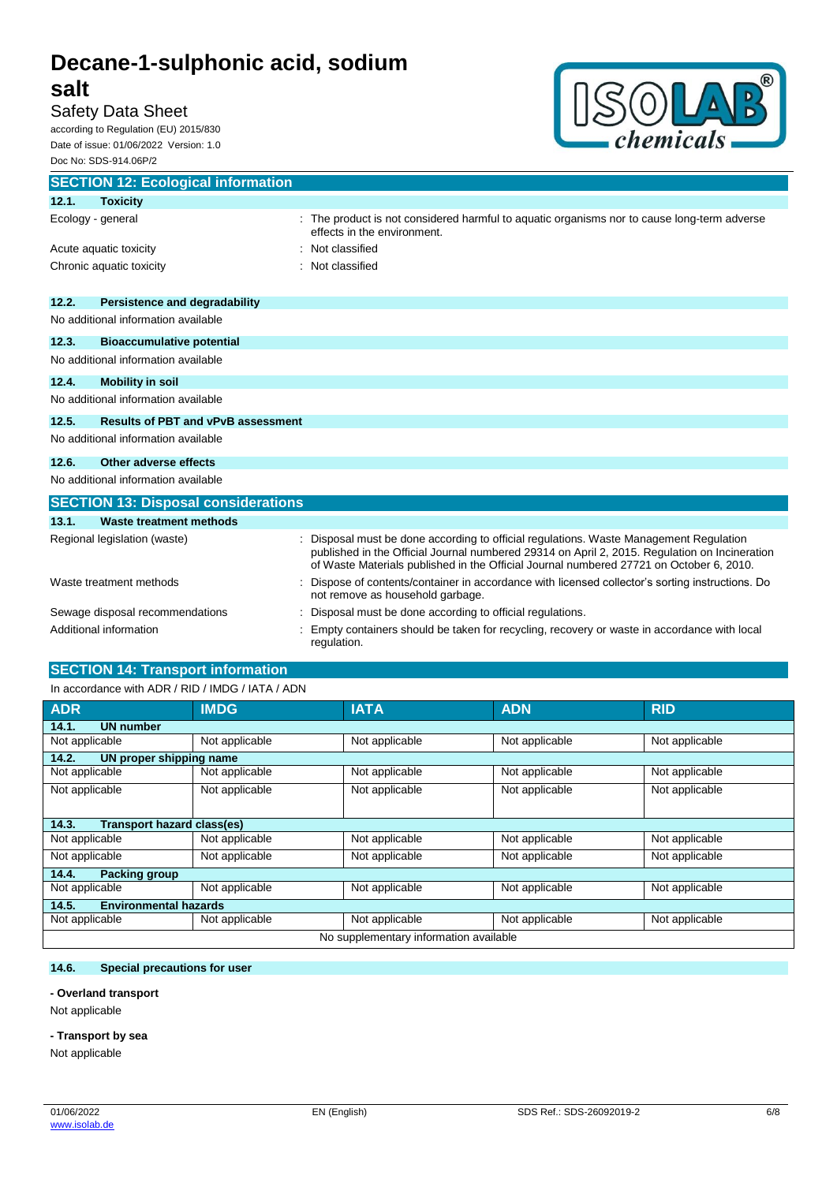## **salt**

Safety Data Sheet

according to Regulation (EU) 2015/830 Date of issue: 01/06/2022 Version: 1.0 Doc No: SDS-914.06P/2



| <b>SECTION 12: Ecological information</b> |                                            |  |                                                                                                                                                                                                                                                                                  |  |
|-------------------------------------------|--------------------------------------------|--|----------------------------------------------------------------------------------------------------------------------------------------------------------------------------------------------------------------------------------------------------------------------------------|--|
| 12.1.                                     | <b>Toxicity</b>                            |  |                                                                                                                                                                                                                                                                                  |  |
| Ecology - general                         |                                            |  | The product is not considered harmful to aquatic organisms nor to cause long-term adverse<br>effects in the environment.                                                                                                                                                         |  |
|                                           | Acute aquatic toxicity                     |  | Not classified                                                                                                                                                                                                                                                                   |  |
| Chronic aquatic toxicity                  |                                            |  | Not classified                                                                                                                                                                                                                                                                   |  |
|                                           |                                            |  |                                                                                                                                                                                                                                                                                  |  |
| 12.2.                                     | <b>Persistence and degradability</b>       |  |                                                                                                                                                                                                                                                                                  |  |
|                                           | No additional information available        |  |                                                                                                                                                                                                                                                                                  |  |
| 12.3.                                     | <b>Bioaccumulative potential</b>           |  |                                                                                                                                                                                                                                                                                  |  |
|                                           | No additional information available        |  |                                                                                                                                                                                                                                                                                  |  |
| 12.4.                                     | <b>Mobility in soil</b>                    |  |                                                                                                                                                                                                                                                                                  |  |
|                                           | No additional information available        |  |                                                                                                                                                                                                                                                                                  |  |
| 12.5.                                     | <b>Results of PBT and vPvB assessment</b>  |  |                                                                                                                                                                                                                                                                                  |  |
|                                           | No additional information available        |  |                                                                                                                                                                                                                                                                                  |  |
| 12.6.                                     | Other adverse effects                      |  |                                                                                                                                                                                                                                                                                  |  |
|                                           | No additional information available        |  |                                                                                                                                                                                                                                                                                  |  |
|                                           | <b>SECTION 13: Disposal considerations</b> |  |                                                                                                                                                                                                                                                                                  |  |
| 13.1.                                     | <b>Waste treatment methods</b>             |  |                                                                                                                                                                                                                                                                                  |  |
|                                           | Regional legislation (waste)               |  | Disposal must be done according to official regulations. Waste Management Regulation<br>published in the Official Journal numbered 29314 on April 2, 2015. Regulation on Incineration<br>of Waste Materials published in the Official Journal numbered 27721 on October 6, 2010. |  |
| Waste treatment methods                   |                                            |  | Dispose of contents/container in accordance with licensed collector's sorting instructions. Do<br>not remove as household garbage.                                                                                                                                               |  |
|                                           | Sewage disposal recommendations            |  | Disposal must be done according to official regulations.                                                                                                                                                                                                                         |  |
| Additional information                    |                                            |  | Empty containers should be taken for recycling, recovery or waste in accordance with local<br>regulation.                                                                                                                                                                        |  |

### **SECTION 14: Transport information**

#### In accordance with ADR / RID / IMDG / IATA / ADN

| <b>ADR</b>                             | <b>IMDG</b>                | <b>IATA</b>    | <b>ADN</b>     | <b>RID</b>     |  |  |
|----------------------------------------|----------------------------|----------------|----------------|----------------|--|--|
| 14.1.<br><b>UN number</b>              |                            |                |                |                |  |  |
| Not applicable                         | Not applicable             | Not applicable | Not applicable | Not applicable |  |  |
| 14.2.<br>UN proper shipping name       |                            |                |                |                |  |  |
| Not applicable                         | Not applicable             | Not applicable | Not applicable | Not applicable |  |  |
| Not applicable                         | Not applicable             | Not applicable | Not applicable | Not applicable |  |  |
| 14.3.                                  | Transport hazard class(es) |                |                |                |  |  |
| Not applicable                         | Not applicable             | Not applicable | Not applicable | Not applicable |  |  |
| Not applicable                         | Not applicable             | Not applicable | Not applicable | Not applicable |  |  |
| 14.4.<br>Packing group                 |                            |                |                |                |  |  |
| Not applicable                         | Not applicable             | Not applicable | Not applicable | Not applicable |  |  |
| <b>Environmental hazards</b><br>14.5.  |                            |                |                |                |  |  |
| Not applicable                         | Not applicable             | Not applicable | Not applicable | Not applicable |  |  |
| No supplementary information available |                            |                |                |                |  |  |

#### **14.6. Special precautions for user**

#### **- Overland transport**

Not applicable

#### **- Transport by sea**

Not applicable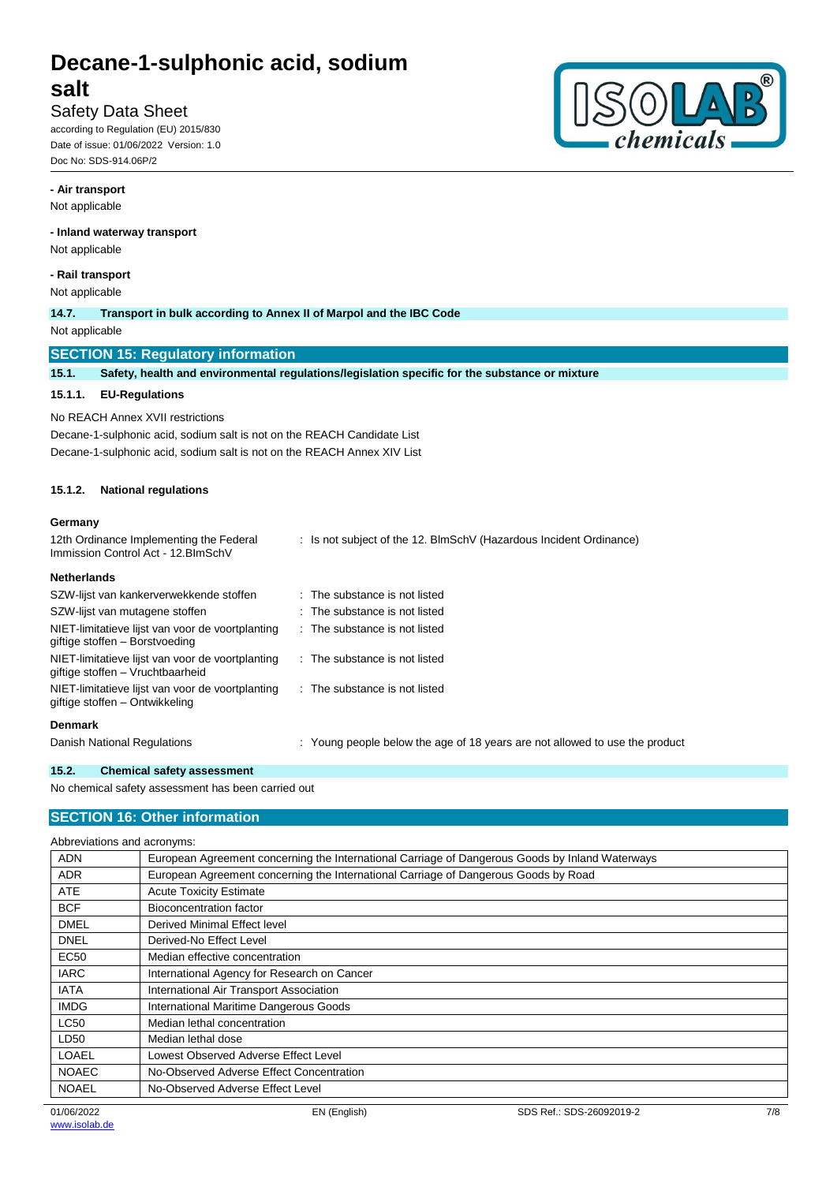### Safety Data Sheet

according to Regulation (EU) 2015/830 Date of issue: 01/06/2022 Version: 1.0 Doc No: SDS-914.06P/2

#### **- Air transport**

Not applicable

#### **- Inland waterway transport**

Not applicable

#### **- Rail transport**

Not applicable

**14.7. Transport in bulk according to Annex II of Marpol and the IBC Code**

Not applicable

#### **SECTION 15: Regulatory information**

**15.1. Safety, health and environmental regulations/legislation specific for the substance or mixture**

#### **15.1.1. EU-Regulations**

No REACH Annex XVII restrictions Decane-1-sulphonic acid, sodium salt is not on the REACH Candidate List Decane-1-sulphonic acid, sodium salt is not on the REACH Annex XIV List

#### **15.1.2. National regulations**

#### **Germany**

| 12th Ordinance Implementing the Federal<br>Immission Control Act - 12. BlmSchV       | : Is not subject of the 12. BlmSchV (Hazardous Incident Ordinance)          |
|--------------------------------------------------------------------------------------|-----------------------------------------------------------------------------|
| <b>Netherlands</b>                                                                   |                                                                             |
| SZW-lijst van kankerverwekkende stoffen                                              | : The substance is not listed                                               |
| SZW-lijst van mutagene stoffen                                                       | : The substance is not listed                                               |
| NIET-limitatieve lijst van voor de voortplanting<br>giftige stoffen - Borstvoeding   | : The substance is not listed                                               |
| NIET-limitatieve lijst van voor de voortplanting<br>giftige stoffen – Vruchtbaarheid | $\therefore$ The substance is not listed                                    |
| NIET-limitatieve lijst van voor de voortplanting<br>giftige stoffen - Ontwikkeling   | . The substance is not listed                                               |
| <b>Denmark</b>                                                                       |                                                                             |
| Danish National Regulations                                                          | : Young people below the age of 18 years are not allowed to use the product |

#### **15.2. Chemical safety assessment**

No chemical safety assessment has been carried out

#### **SECTION 16: Other information**

#### Abbreviations and acronyms:

| <b>ADN</b>   | European Agreement concerning the International Carriage of Dangerous Goods by Inland Waterways |
|--------------|-------------------------------------------------------------------------------------------------|
| <b>ADR</b>   | European Agreement concerning the International Carriage of Dangerous Goods by Road             |
| <b>ATE</b>   | <b>Acute Toxicity Estimate</b>                                                                  |
| <b>BCF</b>   | Bioconcentration factor                                                                         |
| <b>DMEL</b>  | Derived Minimal Effect level                                                                    |
| <b>DNEL</b>  | Derived-No Effect Level                                                                         |
| <b>EC50</b>  | Median effective concentration                                                                  |
| <b>IARC</b>  | International Agency for Research on Cancer                                                     |
| <b>IATA</b>  | International Air Transport Association                                                         |
| <b>IMDG</b>  | International Maritime Dangerous Goods                                                          |
| <b>LC50</b>  | Median lethal concentration                                                                     |
| LD50         | Median lethal dose                                                                              |
| <b>LOAEL</b> | Lowest Observed Adverse Effect Level                                                            |
| <b>NOAEC</b> | No-Observed Adverse Effect Concentration                                                        |
| <b>NOAEL</b> | No-Observed Adverse Effect Level                                                                |